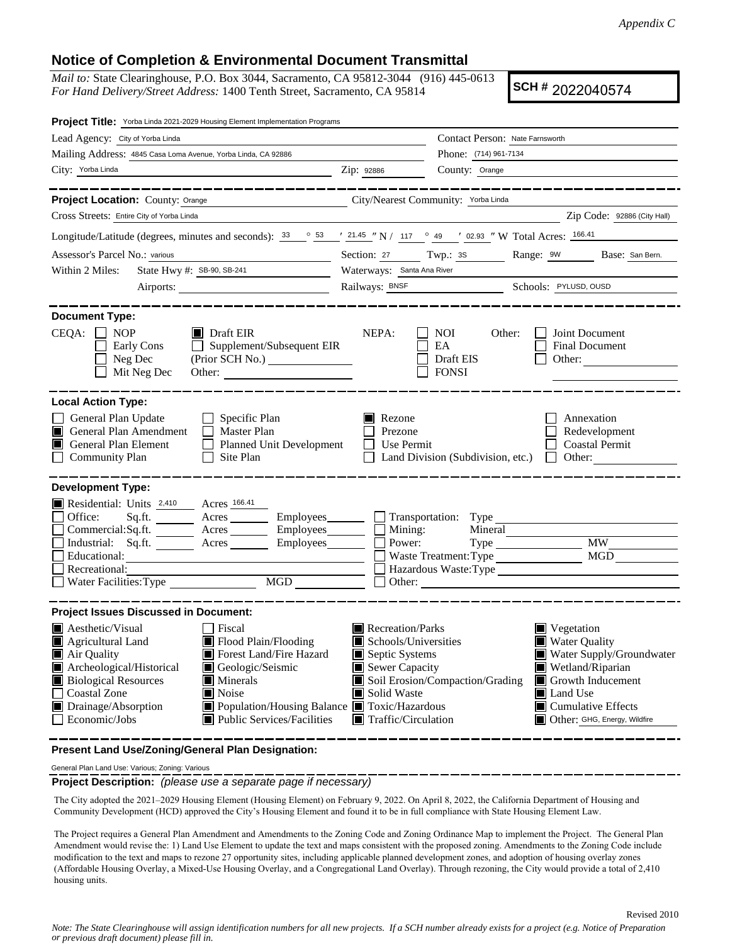Revised 2010

## **Notice of Completion & Environmental Document Transmittal**

*Mail to:* State Clearinghouse, P.O. Box 3044, Sacramento, CA 95812-3044 (916) 445-0613 *For Hand Delivery/Street Address:* 1400 Tenth Street, Sacramento, CA 95814

**SCH #** 2022040574

| Project Title: Yorba Linda 2021-2029 Housing Element Implementation Programs                                                                                                                                                                                                                                                                                                                |                                                                                                                                                                                                                                                           |                                                                                            |                                                                                                                                   |  |
|---------------------------------------------------------------------------------------------------------------------------------------------------------------------------------------------------------------------------------------------------------------------------------------------------------------------------------------------------------------------------------------------|-----------------------------------------------------------------------------------------------------------------------------------------------------------------------------------------------------------------------------------------------------------|--------------------------------------------------------------------------------------------|-----------------------------------------------------------------------------------------------------------------------------------|--|
| Lead Agency: City of Yorba Linda                                                                                                                                                                                                                                                                                                                                                            |                                                                                                                                                                                                                                                           | Contact Person: Nate Farnsworth                                                            |                                                                                                                                   |  |
| Mailing Address: 4845 Casa Loma Avenue, Yorba Linda, CA 92886                                                                                                                                                                                                                                                                                                                               |                                                                                                                                                                                                                                                           | Phone: (714) 961-7134                                                                      |                                                                                                                                   |  |
| City: Yorba Linda<br><u> 1989 - Johann Barn, amerikansk politiker (</u>                                                                                                                                                                                                                                                                                                                     | Zip: 92886                                                                                                                                                                                                                                                | County: Orange                                                                             |                                                                                                                                   |  |
| _______________                                                                                                                                                                                                                                                                                                                                                                             |                                                                                                                                                                                                                                                           |                                                                                            | ___________________                                                                                                               |  |
| Project Location: County: Orange                                                                                                                                                                                                                                                                                                                                                            | City/Nearest Community: Yorba Linda                                                                                                                                                                                                                       |                                                                                            |                                                                                                                                   |  |
| Cross Streets: Entire City of Yorba Linda                                                                                                                                                                                                                                                                                                                                                   |                                                                                                                                                                                                                                                           |                                                                                            | Zip Code: 92886 (City Hall)                                                                                                       |  |
| Longitude/Latitude (degrees, minutes and seconds): $33 \degree$ 53 $\degree$ 145 "N / 117 ° 49 ' 02.93 "W Total Acres: $\frac{166.41}{166.41}$                                                                                                                                                                                                                                              |                                                                                                                                                                                                                                                           |                                                                                            |                                                                                                                                   |  |
| Assessor's Parcel No.: various                                                                                                                                                                                                                                                                                                                                                              |                                                                                                                                                                                                                                                           |                                                                                            | Section: 27 Twp.: 38 Range: 9W Base: San Bern.                                                                                    |  |
| State Hwy #: SB-90, SB-241<br>Within 2 Miles:                                                                                                                                                                                                                                                                                                                                               | Waterways: Santa Ana River                                                                                                                                                                                                                                |                                                                                            |                                                                                                                                   |  |
| Airports:                                                                                                                                                                                                                                                                                                                                                                                   | Railways: BNSF Schools: PYLUSD, OUSD                                                                                                                                                                                                                      |                                                                                            |                                                                                                                                   |  |
| <b>Document Type:</b><br>CEQA:<br>$\blacksquare$ Draft EIR<br><b>NOP</b><br>Supplement/Subsequent EIR<br>Early Cons<br>$\perp$<br>Neg Dec<br>(Prior SCH No.) _________________<br>Mit Neg Dec<br>Other:                                                                                                                                                                                     | NEPA:                                                                                                                                                                                                                                                     | NOI<br>Other:<br>EA<br>Draft EIS<br><b>FONSI</b>                                           | Joint Document<br>Final Document<br>Other:                                                                                        |  |
| <b>Local Action Type:</b>                                                                                                                                                                                                                                                                                                                                                                   |                                                                                                                                                                                                                                                           |                                                                                            |                                                                                                                                   |  |
| General Plan Update<br>$\Box$ Specific Plan<br>General Plan Amendment<br>Master Plan<br>I I<br>General Plan Element<br>Planned Unit Development<br><b>Community Plan</b><br>$\Box$ Site Plan                                                                                                                                                                                                | Rezone<br>Annexation<br>Redevelopment<br>Prezone<br><b>Coastal Permit</b><br>Use Permit<br>$\perp$<br>Land Division (Subdivision, etc.) $\Box$ Other:                                                                                                     |                                                                                            |                                                                                                                                   |  |
| <b>Development Type:</b><br>Residential: Units 2,410 Acres 166.41<br>Office:<br>Sq.ft. _________ Acres __________ Employees________<br>Commercial:Sq.ft. _________ Acres __________ Employees________<br>Industrial: Sq.ft. _______ Acres _______ Employees_______<br>Educational:<br><u> 1989 - Johann Stein, mars an deus Amerikaansk kommunister (</u><br>Recreational:                  | Mining:<br>Power:                                                                                                                                                                                                                                         | Transportation: Type<br>Mineral<br>Waste Treatment: Type<br>Hazardous Waste:Type<br>Other: | <b>MW</b><br>MGD                                                                                                                  |  |
| <b>Project Issues Discussed in Document:</b>                                                                                                                                                                                                                                                                                                                                                |                                                                                                                                                                                                                                                           |                                                                                            |                                                                                                                                   |  |
| $\blacksquare$ Aesthetic/Visual<br>Fiscal<br>Agricultural Land<br>Flood Plain/Flooding<br>Air Quality<br>Forest Land/Fire Hazard<br>Archeological/Historical<br>Geologic/Seismic<br><b>Biological Resources</b><br>Minerals<br>Ш<br>Noise<br><b>Coastal Zone</b><br>Drainage/Absorption<br>Population/Housing Balance Toxic/Hazardous<br>Economic/Jobs<br><b>Public Services/Facilities</b> | Recreation/Parks<br>$\blacksquare$ Vegetation<br>Schools/Universities<br><b>Water Quality</b><br>Septic Systems<br>Sewer Capacity<br>Wetland/Riparian<br>Soil Erosion/Compaction/Grading<br>Land Use<br>Solid Waste<br>$\blacksquare$ Traffic/Circulation |                                                                                            | Water Supply/Groundwater<br>$\blacksquare$ Growth Inducement<br>$\blacksquare$ Cumulative Effects<br>Other: GHG, Energy, Wildfire |  |

**Present Land Use/Zoning/General Plan Designation:**

General Plan Land Use: Various; Zoning: Various

**Project Description:** *(please use a separate page if necessary)* 

The City adopted the 2021–2029 Housing Element (Housing Element) on February 9, 2022. On April 8, 2022, the California Department of Housing and Community Development (HCD) approved the City's Housing Element and found it to be in full compliance with State Housing Element Law.

The Project requires a General Plan Amendment and Amendments to the Zoning Code and Zoning Ordinance Map to implement the Project. The General Plan Amendment would revise the: 1) Land Use Element to update the text and maps consistent with the proposed zoning. Amendments to the Zoning Code include modification to the text and maps to rezone 27 opportunity sites, including applicable planned development zones, and adoption of housing overlay zones (Affordable Housing Overlay, a Mixed-Use Housing Overlay, and a Congregational Land Overlay). Through rezoning, the City would provide a total of 2,410 housing units.